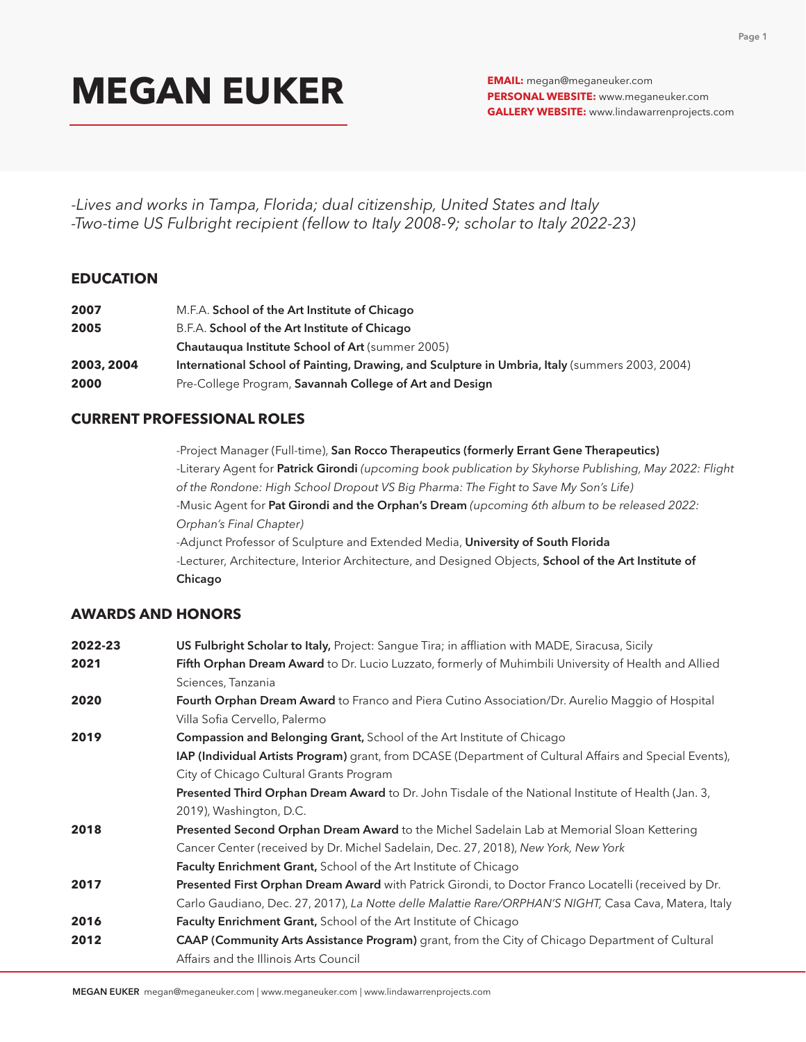**PERSONAL WEBSITE:** www.meganeuker.com **GALLERY WEBSITE:** www.lindawarrenprojects.com

-*Lives and works in Tampa, Florida; dual citizenship, United States and Italy -Two-time US Fulbright recipient (fellow to Italy 2008-9; scholar to Italy 2022-23)*

### **EDUCATION**

| 2007       | M.F.A. School of the Art Institute of Chicago                                                  |
|------------|------------------------------------------------------------------------------------------------|
| 2005       | B.F.A. School of the Art Institute of Chicago                                                  |
|            | <b>Chautauqua Institute School of Art (summer 2005)</b>                                        |
| 2003, 2004 | International School of Painting, Drawing, and Sculpture in Umbria, Italy (summers 2003, 2004) |
| 2000       | Pre-College Program, Savannah College of Art and Design                                        |

### **CURRENT PROFESSIONAL ROLES**

-Project Manager (Full-time), San Rocco Therapeutics (formerly Errant Gene Therapeutics) -Literary Agent for Patrick Girondi *(upcoming book publication by Skyhorse Publishing, May 2022: Flight of the Rondone: High School Dropout VS Big Pharma: The Fight to Save My Son's Life)* -Music Agent for Pat Girondi and the Orphan's Dream *(upcoming 6th album to be released 2022: Orphan's Final Chapter) -*Adjunct Professor of Sculpture and Extended Media, University of South Florida -Lecturer, Architecture, Interior Architecture, and Designed Objects, School of the Art Institute of Chicago

### **AWARDS AND HONORS**

| 2022-23 | US Fulbright Scholar to Italy, Project: Sangue Tira; in affliation with MADE, Siracusa, Sicily             |
|---------|------------------------------------------------------------------------------------------------------------|
| 2021    | Fifth Orphan Dream Award to Dr. Lucio Luzzato, formerly of Muhimbili University of Health and Allied       |
|         | Sciences, Tanzania                                                                                         |
| 2020    | Fourth Orphan Dream Award to Franco and Piera Cutino Association/Dr. Aurelio Maggio of Hospital            |
|         | Villa Sofia Cervello, Palermo                                                                              |
| 2019    | <b>Compassion and Belonging Grant, School of the Art Institute of Chicago</b>                              |
|         | IAP (Individual Artists Program) grant, from DCASE (Department of Cultural Affairs and Special Events),    |
|         | City of Chicago Cultural Grants Program                                                                    |
|         | <b>Presented Third Orphan Dream Award</b> to Dr. John Tisdale of the National Institute of Health (Jan. 3, |
|         | 2019), Washington, D.C.                                                                                    |
| 2018    | Presented Second Orphan Dream Award to the Michel Sadelain Lab at Memorial Sloan Kettering                 |
|         | Cancer Center (received by Dr. Michel Sadelain, Dec. 27, 2018), New York, New York                         |
|         | Faculty Enrichment Grant, School of the Art Institute of Chicago                                           |
| 2017    | Presented First Orphan Dream Award with Patrick Girondi, to Doctor Franco Locatelli (received by Dr.       |
|         | Carlo Gaudiano, Dec. 27, 2017), La Notte delle Malattie Rare/ORPHAN'S NIGHT, Casa Cava, Matera, Italy      |
| 2016    | <b>Faculty Enrichment Grant, School of the Art Institute of Chicago</b>                                    |
| 2012    | CAAP (Community Arts Assistance Program) grant, from the City of Chicago Department of Cultural            |
|         | Affairs and the Illinois Arts Council                                                                      |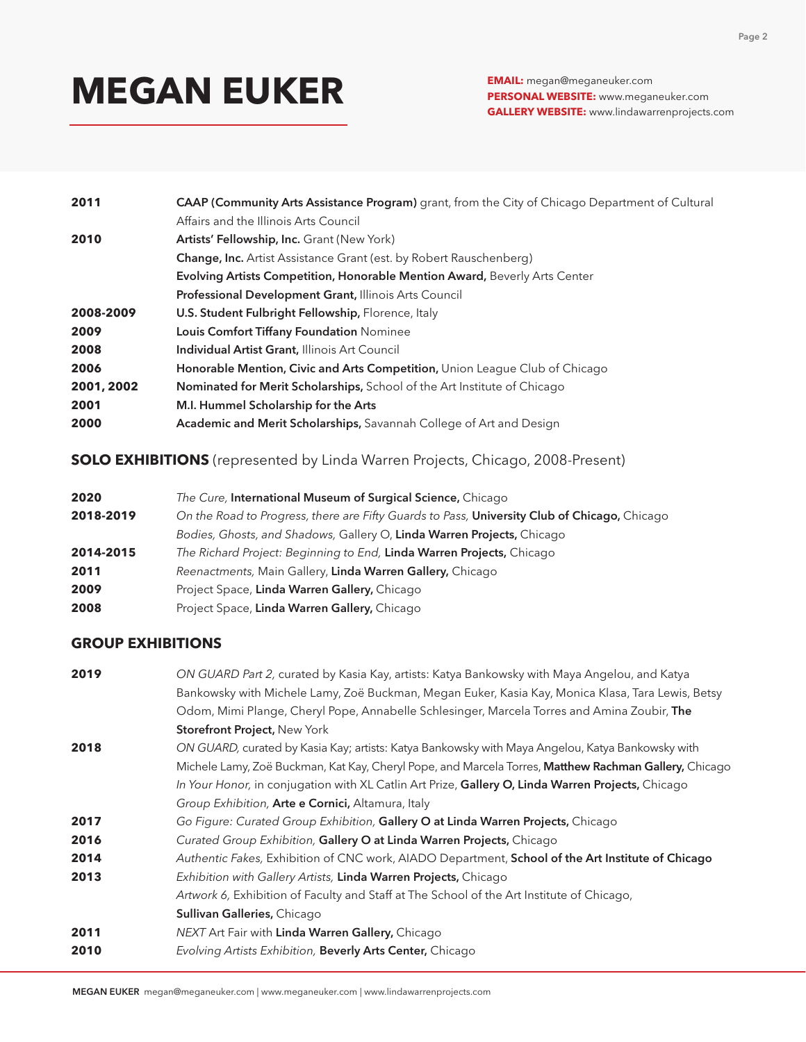**PERSONAL WEBSITE:** www.meganeuker.com **GALLERY WEBSITE:** www.lindawarrenprojects.com

| 2011       | <b>CAAP (Community Arts Assistance Program)</b> grant, from the City of Chicago Department of Cultural |
|------------|--------------------------------------------------------------------------------------------------------|
|            | Affairs and the Illinois Arts Council                                                                  |
| 2010       | Artists' Fellowship, Inc. Grant (New York)                                                             |
|            | <b>Change, Inc.</b> Artist Assistance Grant (est. by Robert Rauschenberg)                              |
|            | <b>Evolving Artists Competition, Honorable Mention Award, Beverly Arts Center</b>                      |
|            | Professional Development Grant, Illinois Arts Council                                                  |
| 2008-2009  | U.S. Student Fulbright Fellowship, Florence, Italy                                                     |
| 2009       | <b>Louis Comfort Tiffany Foundation Nominee</b>                                                        |
| 2008       | <b>Individual Artist Grant, Illinois Art Council</b>                                                   |
| 2006       | Honorable Mention, Civic and Arts Competition, Union League Club of Chicago                            |
| 2001, 2002 | <b>Nominated for Merit Scholarships, School of the Art Institute of Chicago</b>                        |
| 2001       | M.I. Hummel Scholarship for the Arts                                                                   |
| 2000       | Academic and Merit Scholarships, Savannah College of Art and Design                                    |

**SOLO EXHIBITIONS** (represented by Linda Warren Projects, Chicago, 2008-Present)

| 2020      | The Cure, International Museum of Surgical Science, Chicago                                  |
|-----------|----------------------------------------------------------------------------------------------|
| 2018-2019 | On the Road to Progress, there are Fifty Guards to Pass, University Club of Chicago, Chicago |
|           | Bodies, Ghosts, and Shadows, Gallery O, Linda Warren Projects, Chicago                       |
| 2014-2015 | The Richard Project: Beginning to End, Linda Warren Projects, Chicago                        |
| 2011      | Reenactments, Main Gallery, Linda Warren Gallery, Chicago                                    |
| 2009      | Project Space, Linda Warren Gallery, Chicago                                                 |
| 2008      | Project Space, Linda Warren Gallery, Chicago                                                 |

## **GROUP EXHIBITIONS**

| 2019 | ON GUARD Part 2, curated by Kasia Kay, artists: Katya Bankowsky with Maya Angelou, and Katya          |
|------|-------------------------------------------------------------------------------------------------------|
|      | Bankowsky with Michele Lamy, Zoë Buckman, Megan Euker, Kasia Kay, Monica Klasa, Tara Lewis, Betsy     |
|      | Odom, Mimi Plange, Cheryl Pope, Annabelle Schlesinger, Marcela Torres and Amina Zoubir, The           |
|      | <b>Storefront Project, New York</b>                                                                   |
| 2018 | ON GUARD, curated by Kasia Kay; artists: Katya Bankowsky with Maya Angelou, Katya Bankowsky with      |
|      | Michele Lamy, Zoë Buckman, Kat Kay, Cheryl Pope, and Marcela Torres, Matthew Rachman Gallery, Chicago |
|      | In Your Honor, in conjugation with XL Catlin Art Prize, Gallery O, Linda Warren Projects, Chicago     |
|      | Group Exhibition, Arte e Cornici, Altamura, Italy                                                     |
| 2017 | Go Figure: Curated Group Exhibition, Gallery O at Linda Warren Projects, Chicago                      |
| 2016 | Curated Group Exhibition, Gallery O at Linda Warren Projects, Chicago                                 |
| 2014 | Authentic Fakes, Exhibition of CNC work, AIADO Department, School of the Art Institute of Chicago     |
| 2013 | Exhibition with Gallery Artists, Linda Warren Projects, Chicago                                       |
|      | Artwork 6, Exhibition of Faculty and Staff at The School of the Art Institute of Chicago,             |
|      | Sullivan Galleries, Chicago                                                                           |
| 2011 | NEXT Art Fair with Linda Warren Gallery, Chicago                                                      |
| 2010 | Evolving Artists Exhibition, Beverly Arts Center, Chicago                                             |
|      |                                                                                                       |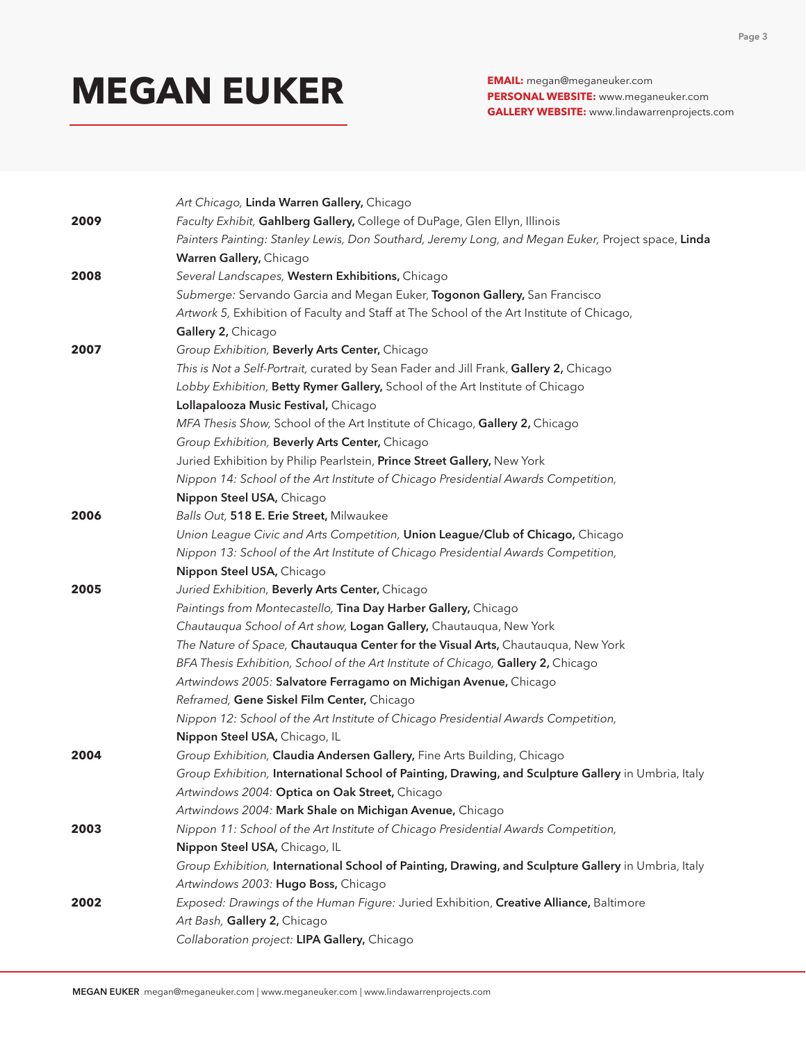**PERSONAL WEBSITE:** www.meganeuker.com **GALLERY WEBSITE:** www.lindawarrenprojects.com

|      | Art Chicago, Linda Warren Gallery, Chicago                                                          |
|------|-----------------------------------------------------------------------------------------------------|
| 2009 | Faculty Exhibit, Gahlberg Gallery, College of DuPage, Glen Ellyn, Illinois                          |
|      | Painters Painting: Stanley Lewis, Don Southard, Jeremy Long, and Megan Euker, Project space, Linda  |
|      | Warren Gallery, Chicago                                                                             |
| 2008 | Several Landscapes, Western Exhibitions, Chicago                                                    |
|      | Submerge: Servando Garcia and Megan Euker, Togonon Gallery, San Francisco                           |
|      | Artwork 5, Exhibition of Faculty and Staff at The School of the Art Institute of Chicago,           |
|      | Gallery 2, Chicago                                                                                  |
| 2007 | Group Exhibition, Beverly Arts Center, Chicago                                                      |
|      | This is Not a Self-Portrait, curated by Sean Fader and Jill Frank, Gallery 2, Chicago               |
|      | Lobby Exhibition, Betty Rymer Gallery, School of the Art Institute of Chicago                       |
|      | Lollapalooza Music Festival, Chicago                                                                |
|      | MFA Thesis Show, School of the Art Institute of Chicago, Gallery 2, Chicago                         |
|      | Group Exhibition, Beverly Arts Center, Chicago                                                      |
|      | Juried Exhibition by Philip Pearlstein, Prince Street Gallery, New York                             |
|      | Nippon 14: School of the Art Institute of Chicago Presidential Awards Competition,                  |
|      | Nippon Steel USA, Chicago                                                                           |
| 2006 | Balls Out, 518 E. Erie Street, Milwaukee                                                            |
|      | Union League Civic and Arts Competition, Union League/Club of Chicago, Chicago                      |
|      | Nippon 13: School of the Art Institute of Chicago Presidential Awards Competition,                  |
|      | Nippon Steel USA, Chicago                                                                           |
| 2005 | Juried Exhibition, Beverly Arts Center, Chicago                                                     |
|      | Paintings from Montecastello, Tina Day Harber Gallery, Chicago                                      |
|      | Chautauqua School of Art show, Logan Gallery, Chautauqua, New York                                  |
|      | The Nature of Space, Chautauqua Center for the Visual Arts, Chautauqua, New York                    |
|      | BFA Thesis Exhibition, School of the Art Institute of Chicago, Gallery 2, Chicago                   |
|      | Artwindows 2005: Salvatore Ferragamo on Michigan Avenue, Chicago                                    |
|      | Reframed, Gene Siskel Film Center, Chicago                                                          |
|      | Nippon 12: School of the Art Institute of Chicago Presidential Awards Competition,                  |
|      | Nippon Steel USA, Chicago, IL                                                                       |
| 2004 | Group Exhibition, Claudia Andersen Gallery, Fine Arts Building, Chicago                             |
|      | Group Exhibition, International School of Painting, Drawing, and Sculpture Gallery in Umbria, Italy |
|      | Artwindows 2004: Optica on Oak Street, Chicago                                                      |
|      | Artwindows 2004: Mark Shale on Michigan Avenue, Chicago                                             |
| 2003 | Nippon 11: School of the Art Institute of Chicago Presidential Awards Competition,                  |
|      | Nippon Steel USA, Chicago, IL                                                                       |
|      | Group Exhibition, International School of Painting, Drawing, and Sculpture Gallery in Umbria, Italy |
|      | Artwindows 2003: Hugo Boss, Chicago                                                                 |
| 2002 | Exposed: Drawings of the Human Figure: Juried Exhibition, Creative Alliance, Baltimore              |
|      | Art Bash, Gallery 2, Chicago                                                                        |
|      | Collaboration project: LIPA Gallery, Chicago                                                        |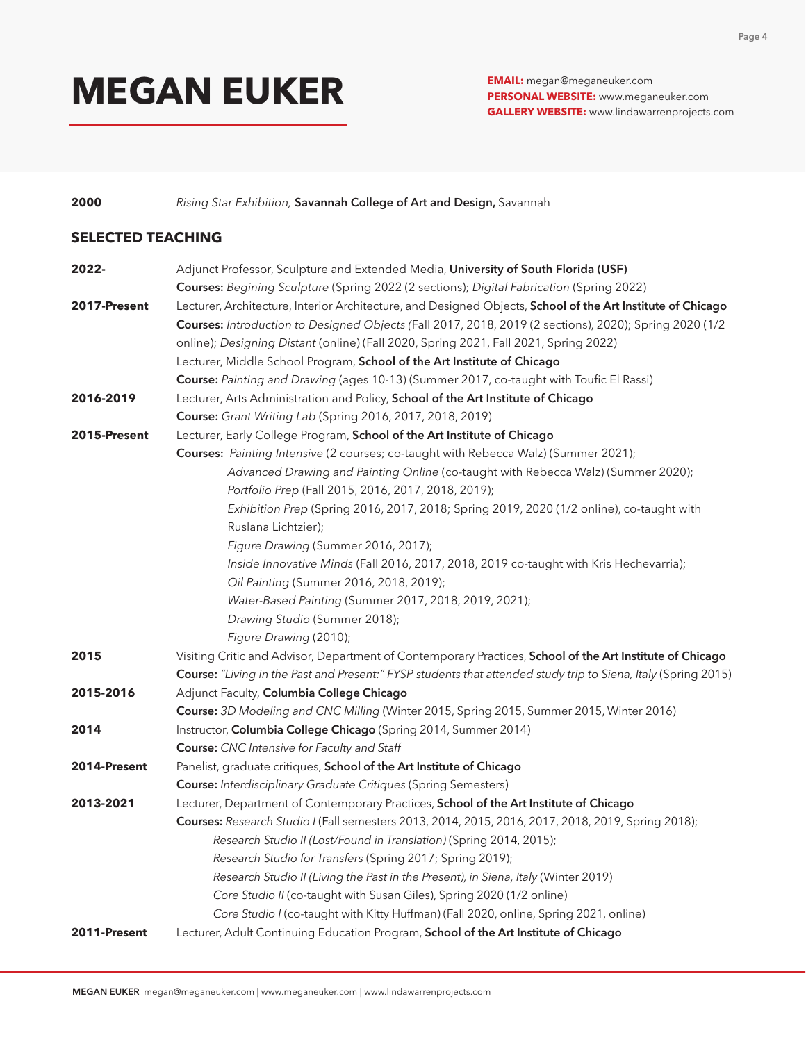**PERSONAL WEBSITE:** www.meganeuker.com **GALLERY WEBSITE:** www.lindawarrenprojects.com

**2000** *Rising Star Exhibition,* Savannah College of Art and Design, Savannah

### **SELECTED TEACHING**

| 2022-        | Adjunct Professor, Sculpture and Extended Media, University of South Florida (USF)                             |
|--------------|----------------------------------------------------------------------------------------------------------------|
|              | Courses: Begining Sculpture (Spring 2022 (2 sections); Digital Fabrication (Spring 2022)                       |
| 2017-Present | Lecturer, Architecture, Interior Architecture, and Designed Objects, School of the Art Institute of Chicago    |
|              | Courses: Introduction to Designed Objects (Fall 2017, 2018, 2019 (2 sections), 2020); Spring 2020 (1/2         |
|              | online); Designing Distant (online) (Fall 2020, Spring 2021, Fall 2021, Spring 2022)                           |
|              | Lecturer, Middle School Program, School of the Art Institute of Chicago                                        |
|              | Course: Painting and Drawing (ages 10-13) (Summer 2017, co-taught with Toufic El Rassi)                        |
| 2016-2019    | Lecturer, Arts Administration and Policy, School of the Art Institute of Chicago                               |
|              | Course: Grant Writing Lab (Spring 2016, 2017, 2018, 2019)                                                      |
| 2015-Present | Lecturer, Early College Program, School of the Art Institute of Chicago                                        |
|              | Courses: Painting Intensive (2 courses; co-taught with Rebecca Walz) (Summer 2021);                            |
|              | Advanced Drawing and Painting Online (co-taught with Rebecca Walz) (Summer 2020);                              |
|              | Portfolio Prep (Fall 2015, 2016, 2017, 2018, 2019);                                                            |
|              | Exhibition Prep (Spring 2016, 2017, 2018; Spring 2019, 2020 (1/2 online), co-taught with                       |
|              | Ruslana Lichtzier);                                                                                            |
|              | Figure Drawing (Summer 2016, 2017);                                                                            |
|              | Inside Innovative Minds (Fall 2016, 2017, 2018, 2019 co-taught with Kris Hechevarria);                         |
|              | Oil Painting (Summer 2016, 2018, 2019);                                                                        |
|              | Water-Based Painting (Summer 2017, 2018, 2019, 2021);                                                          |
|              | Drawing Studio (Summer 2018);                                                                                  |
|              | Figure Drawing (2010);                                                                                         |
| 2015         | Visiting Critic and Advisor, Department of Contemporary Practices, School of the Art Institute of Chicago      |
|              | Course: "Living in the Past and Present:" FYSP students that attended study trip to Siena, Italy (Spring 2015) |
| 2015-2016    | Adjunct Faculty, Columbia College Chicago                                                                      |
|              | Course: 3D Modeling and CNC Milling (Winter 2015, Spring 2015, Summer 2015, Winter 2016)                       |
| 2014         | Instructor, Columbia College Chicago (Spring 2014, Summer 2014)                                                |
|              | Course: CNC Intensive for Faculty and Staff                                                                    |
| 2014-Present | Panelist, graduate critiques, School of the Art Institute of Chicago                                           |
|              | <b>Course:</b> Interdisciplinary Graduate Critiques (Spring Semesters)                                         |
| 2013-2021    | Lecturer, Department of Contemporary Practices, School of the Art Institute of Chicago                         |
|              | Courses: Research Studio I (Fall semesters 2013, 2014, 2015, 2016, 2017, 2018, 2019, Spring 2018);             |
|              | Research Studio II (Lost/Found in Translation) (Spring 2014, 2015);                                            |
|              | Research Studio for Transfers (Spring 2017; Spring 2019);                                                      |
|              | Research Studio II (Living the Past in the Present), in Siena, Italy (Winter 2019)                             |
|              | Core Studio II (co-taught with Susan Giles), Spring 2020 (1/2 online)                                          |
|              | Core Studio I (co-taught with Kitty Huffman) (Fall 2020, online, Spring 2021, online)                          |
| 2011-Present | Lecturer, Adult Continuing Education Program, School of the Art Institute of Chicago                           |
|              |                                                                                                                |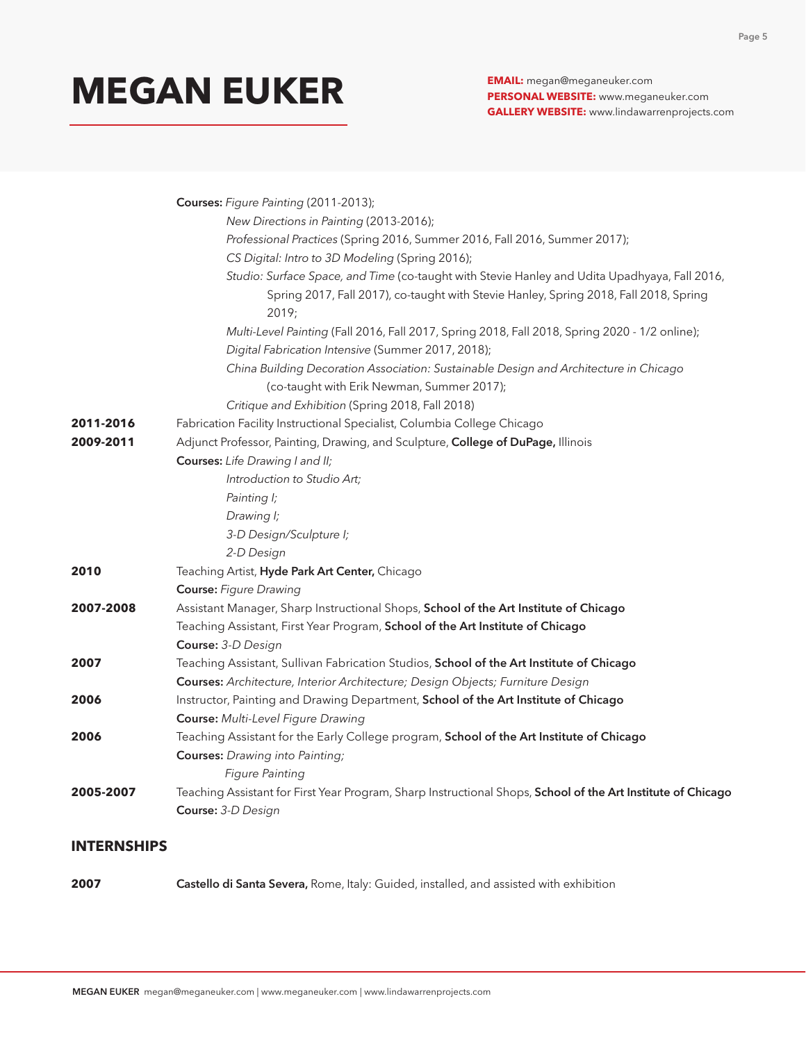**PERSONAL WEBSITE:** www.meganeuker.com **GALLERY WEBSITE:** www.lindawarrenprojects.com

|           | Courses: Figure Painting (2011-2013);                                                                                                                                                           |
|-----------|-------------------------------------------------------------------------------------------------------------------------------------------------------------------------------------------------|
|           | New Directions in Painting (2013-2016);                                                                                                                                                         |
|           | Professional Practices (Spring 2016, Summer 2016, Fall 2016, Summer 2017);                                                                                                                      |
|           | CS Digital: Intro to 3D Modeling (Spring 2016);                                                                                                                                                 |
|           | Studio: Surface Space, and Time (co-taught with Stevie Hanley and Udita Upadhyaya, Fall 2016,<br>Spring 2017, Fall 2017), co-taught with Stevie Hanley, Spring 2018, Fall 2018, Spring<br>2019; |
|           | Multi-Level Painting (Fall 2016, Fall 2017, Spring 2018, Fall 2018, Spring 2020 - 1/2 online);<br>Digital Fabrication Intensive (Summer 2017, 2018);                                            |
|           | China Building Decoration Association: Sustainable Design and Architecture in Chicago<br>(co-taught with Erik Newman, Summer 2017);<br>Critique and Exhibition (Spring 2018, Fall 2018)         |
| 2011-2016 | Fabrication Facility Instructional Specialist, Columbia College Chicago                                                                                                                         |
| 2009-2011 | Adjunct Professor, Painting, Drawing, and Sculpture, College of DuPage, Illinois                                                                                                                |
|           | <b>Courses:</b> Life Drawing I and II;                                                                                                                                                          |
|           | Introduction to Studio Art;                                                                                                                                                                     |
|           | Painting I;                                                                                                                                                                                     |
|           | Drawing I;                                                                                                                                                                                      |
|           | 3-D Design/Sculpture I;                                                                                                                                                                         |
|           | 2-D Design                                                                                                                                                                                      |
| 2010      | Teaching Artist, Hyde Park Art Center, Chicago                                                                                                                                                  |
|           | <b>Course: Figure Drawing</b>                                                                                                                                                                   |
| 2007-2008 | Assistant Manager, Sharp Instructional Shops, School of the Art Institute of Chicago                                                                                                            |
|           | Teaching Assistant, First Year Program, School of the Art Institute of Chicago                                                                                                                  |
|           | Course: 3-D Design                                                                                                                                                                              |
| 2007      | Teaching Assistant, Sullivan Fabrication Studios, School of the Art Institute of Chicago                                                                                                        |
|           | Courses: Architecture, Interior Architecture; Design Objects; Furniture Design                                                                                                                  |
| 2006      | Instructor, Painting and Drawing Department, School of the Art Institute of Chicago                                                                                                             |
|           | Course: Multi-Level Figure Drawing                                                                                                                                                              |
| 2006      | Teaching Assistant for the Early College program, School of the Art Institute of Chicago                                                                                                        |
|           | <b>Courses:</b> Drawing into Painting;                                                                                                                                                          |
|           | <b>Figure Painting</b>                                                                                                                                                                          |
| 2005-2007 | Teaching Assistant for First Year Program, Sharp Instructional Shops, School of the Art Institute of Chicago                                                                                    |
|           | Course: 3-D Design                                                                                                                                                                              |

### **INTERNSHIPS**

**2007** Castello di Santa Severa, Rome, Italy: Guided, installed, and assisted with exhibition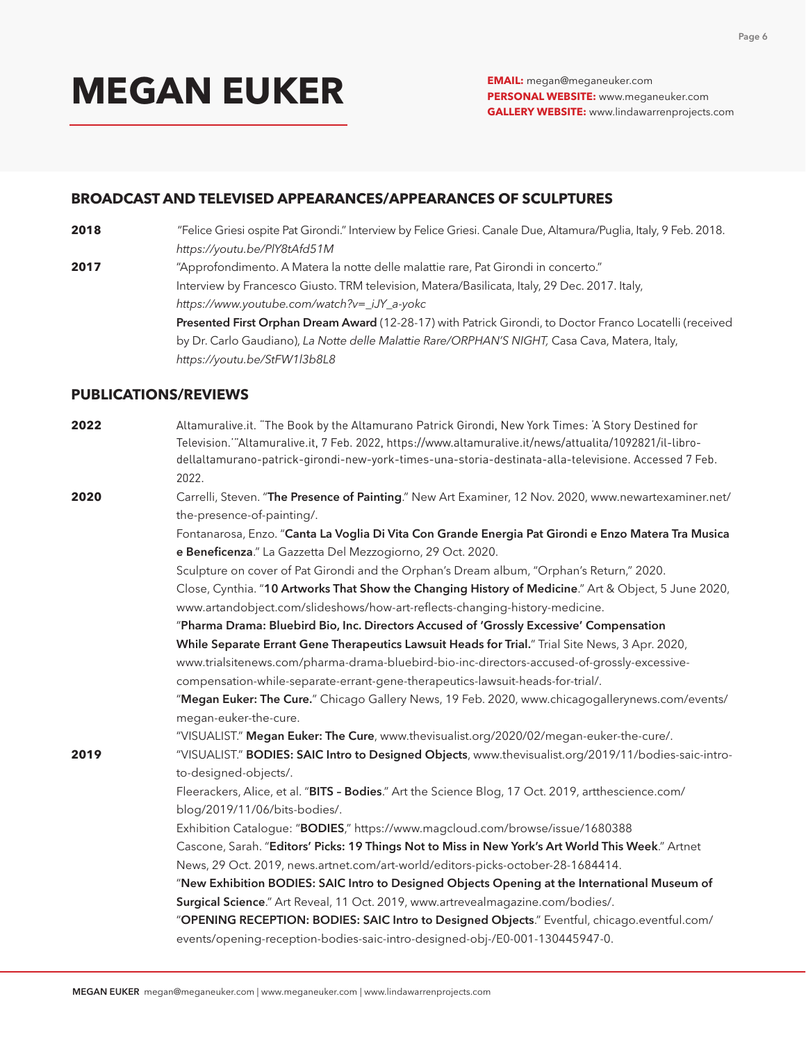**PERSONAL WEBSITE:** www.meganeuker.com **GALLERY WEBSITE:** www.lindawarrenprojects.com

#### **BROADCAST AND TELEVISED APPEARANCES/APPEARANCES OF SCULPTURES**

- **2018** "Felice Griesi ospite Pat Girondi." Interview by Felice Griesi. Canale Due, Altamura/Puglia, Italy, 9 Feb. 2018. *https://youtu.be/PlY8tAfd51M*
- **2017** "Approfondimento. A Matera la notte delle malattie rare, Pat Girondi in concerto." Interview by Francesco Giusto. TRM television, Matera/Basilicata, Italy, 29 Dec. 2017. Italy, *https://www.youtube.com/watch?v=\_iJY\_a-yokc*

Presented First Orphan Dream Award (12-28-17) with Patrick Girondi, to Doctor Franco Locatelli (received by Dr. Carlo Gaudiano), *La Notte delle Malattie Rare/ORPHAN'S NIGHT,* Casa Cava, Matera, Italy, *https://youtu.be/StFW1l3b8L8*

#### **PUBLICATIONS/REVIEWS**

| 2022 | Altamuralive.it. "The Book by the Altamurano Patrick Girondi, New York Times: 'A Story Destined for<br>Television.""Altamuralive.it, 7 Feb. 2022, https://www.altamuralive.it/news/attualita/1092821/il-libro-<br>dellaltamurano-patrick-girondi-new-york-times-una-storia-destinata-alla-televisione. Accessed 7 Feb.<br>2022. |
|------|---------------------------------------------------------------------------------------------------------------------------------------------------------------------------------------------------------------------------------------------------------------------------------------------------------------------------------|
| 2020 | Carrelli, Steven. "The Presence of Painting." New Art Examiner, 12 Nov. 2020, www.newartexaminer.net/                                                                                                                                                                                                                           |
|      | the-presence-of-painting/.                                                                                                                                                                                                                                                                                                      |
|      | Fontanarosa, Enzo. "Canta La Voglia Di Vita Con Grande Energia Pat Girondi e Enzo Matera Tra Musica                                                                                                                                                                                                                             |
|      | e Beneficenza." La Gazzetta Del Mezzogiorno, 29 Oct. 2020.                                                                                                                                                                                                                                                                      |
|      | Sculpture on cover of Pat Girondi and the Orphan's Dream album, "Orphan's Return," 2020.                                                                                                                                                                                                                                        |
|      | Close, Cynthia. "10 Artworks That Show the Changing History of Medicine." Art & Object, 5 June 2020,                                                                                                                                                                                                                            |
|      | www.artandobject.com/slideshows/how-art-reflects-changing-history-medicine.                                                                                                                                                                                                                                                     |
|      | "Pharma Drama: Bluebird Bio, Inc. Directors Accused of 'Grossly Excessive' Compensation                                                                                                                                                                                                                                         |
|      | While Separate Errant Gene Therapeutics Lawsuit Heads for Trial." Trial Site News, 3 Apr. 2020,                                                                                                                                                                                                                                 |
|      | www.trialsitenews.com/pharma-drama-bluebird-bio-inc-directors-accused-of-grossly-excessive-                                                                                                                                                                                                                                     |
|      | compensation-while-separate-errant-gene-therapeutics-lawsuit-heads-for-trial/.                                                                                                                                                                                                                                                  |
|      | "Megan Euker: The Cure." Chicago Gallery News, 19 Feb. 2020, www.chicagogallerynews.com/events/                                                                                                                                                                                                                                 |
|      | megan-euker-the-cure.                                                                                                                                                                                                                                                                                                           |
|      | "VISUALIST." Megan Euker: The Cure, www.thevisualist.org/2020/02/megan-euker-the-cure/.                                                                                                                                                                                                                                         |
| 2019 | "VISUALIST." BODIES: SAIC Intro to Designed Objects, www.thevisualist.org/2019/11/bodies-saic-intro-                                                                                                                                                                                                                            |
|      | to-designed-objects/.                                                                                                                                                                                                                                                                                                           |
|      | Fleerackers, Alice, et al. "BITS - Bodies." Art the Science Blog, 17 Oct. 2019, artthescience.com/                                                                                                                                                                                                                              |
|      | blog/2019/11/06/bits-bodies/.                                                                                                                                                                                                                                                                                                   |
|      | Exhibition Catalogue: "BODIES," https://www.magcloud.com/browse/issue/1680388                                                                                                                                                                                                                                                   |
|      | Cascone, Sarah. "Editors' Picks: 19 Things Not to Miss in New York's Art World This Week." Artnet                                                                                                                                                                                                                               |
|      | News, 29 Oct. 2019, news.artnet.com/art-world/editors-picks-october-28-1684414.                                                                                                                                                                                                                                                 |
|      | "New Exhibition BODIES: SAIC Intro to Designed Objects Opening at the International Museum of                                                                                                                                                                                                                                   |
|      | Surgical Science." Art Reveal, 11 Oct. 2019, www.artrevealmagazine.com/bodies/.                                                                                                                                                                                                                                                 |
|      | "OPENING RECEPTION: BODIES: SAIC Intro to Designed Objects." Eventful, chicago.eventful.com/                                                                                                                                                                                                                                    |
|      | events/opening-reception-bodies-saic-intro-designed-obj-/E0-001-130445947-0.                                                                                                                                                                                                                                                    |
|      |                                                                                                                                                                                                                                                                                                                                 |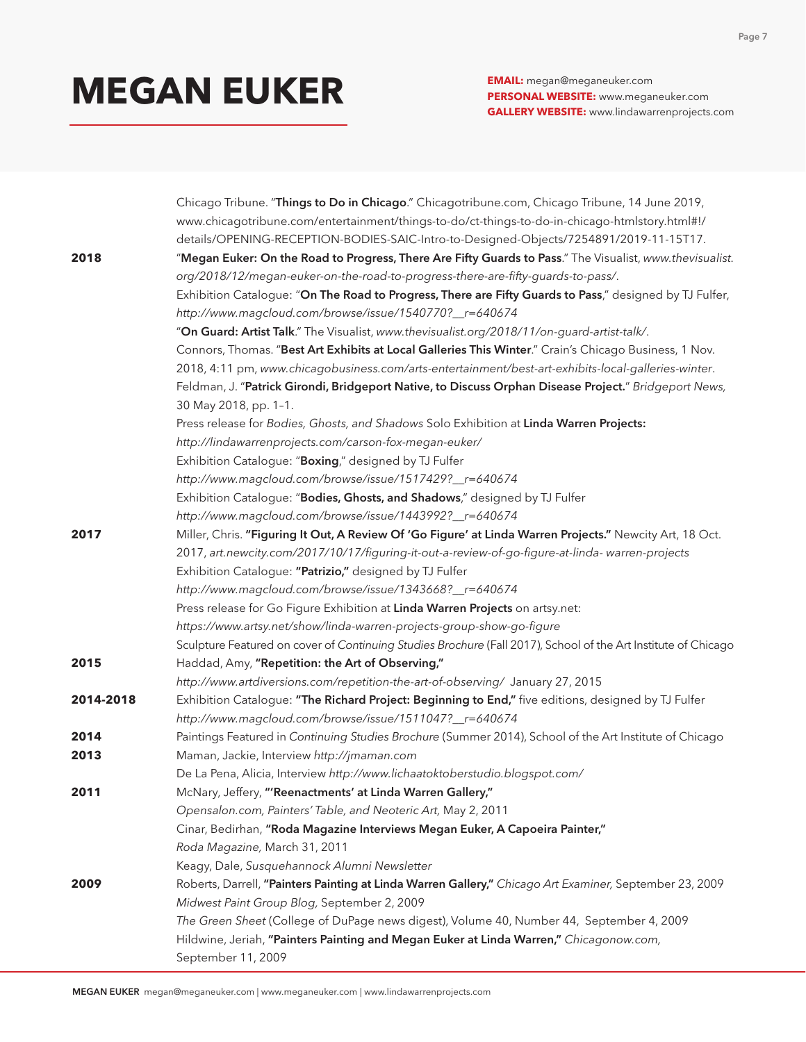**PERSONAL WEBSITE:** www.meganeuker.com **GALLERY WEBSITE:** www.lindawarrenprojects.com

|           | Chicago Tribune. "Things to Do in Chicago." Chicagotribune.com, Chicago Tribune, 14 June 2019,                 |
|-----------|----------------------------------------------------------------------------------------------------------------|
|           | www.chicagotribune.com/entertainment/things-to-do/ct-things-to-do-in-chicago-htmlstory.html#!/                 |
|           | details/OPENING-RECEPTION-BODIES-SAIC-Intro-to-Designed-Objects/7254891/2019-11-15T17.                         |
| 2018      | "Megan Euker: On the Road to Progress, There Are Fifty Guards to Pass." The Visualist, www.thevisualist.       |
|           | org/2018/12/megan-euker-on-the-road-to-progress-there-are-fifty-guards-to-pass/.                               |
|           | Exhibition Catalogue: "On The Road to Progress, There are Fifty Guards to Pass," designed by TJ Fulfer,        |
|           | http://www.magcloud.com/browse/issue/1540770?_r=640674                                                         |
|           | "On Guard: Artist Talk." The Visualist, www.thevisualist.org/2018/11/on-guard-artist-talk/.                    |
|           | Connors, Thomas. "Best Art Exhibits at Local Galleries This Winter." Crain's Chicago Business, 1 Nov.          |
|           | 2018, 4:11 pm, www.chicagobusiness.com/arts-entertainment/best-art-exhibits-local-galleries-winter.            |
|           | Feldman, J. "Patrick Girondi, Bridgeport Native, to Discuss Orphan Disease Project." Bridgeport News,          |
|           | 30 May 2018, pp. 1-1.                                                                                          |
|           | Press release for Bodies, Ghosts, and Shadows Solo Exhibition at Linda Warren Projects:                        |
|           | http://lindawarrenprojects.com/carson-fox-megan-euker/                                                         |
|           | Exhibition Catalogue: "Boxing," designed by TJ Fulfer                                                          |
|           | http://www.magcloud.com/browse/issue/1517429?_r=640674                                                         |
|           | Exhibition Catalogue: "Bodies, Ghosts, and Shadows," designed by TJ Fulfer                                     |
|           | http://www.magcloud.com/browse/issue/1443992?_r=640674                                                         |
| 2017      | Miller, Chris. "Figuring It Out, A Review Of 'Go Figure' at Linda Warren Projects." Newcity Art, 18 Oct.       |
|           | 2017, art.newcity.com/2017/10/17/figuring-it-out-a-review-of-go-figure-at-linda- warren-projects               |
|           | Exhibition Catalogue: "Patrizio," designed by TJ Fulfer                                                        |
|           | http://www.magcloud.com/browse/issue/1343668?_r=640674                                                         |
|           | Press release for Go Figure Exhibition at Linda Warren Projects on artsy.net:                                  |
|           | https://www.artsy.net/show/linda-warren-projects-group-show-go-figure                                          |
|           | Sculpture Featured on cover of Continuing Studies Brochure (Fall 2017), School of the Art Institute of Chicago |
| 2015      | Haddad, Amy, "Repetition: the Art of Observing,"                                                               |
|           | http://www.artdiversions.com/repetition-the-art-of-observing/ January 27, 2015                                 |
| 2014-2018 | Exhibition Catalogue: "The Richard Project: Beginning to End," five editions, designed by TJ Fulfer            |
|           | http://www.magcloud.com/browse/issue/1511047?_r=640674                                                         |
| 2014      | Paintings Featured in Continuing Studies Brochure (Summer 2014), School of the Art Institute of Chicago        |
| 2013      | Maman, Jackie, Interview http://jmaman.com                                                                     |
|           | De La Pena, Alicia, Interview http://www.lichaatoktoberstudio.blogspot.com/                                    |
| 2011      | McNary, Jeffery, "'Reenactments' at Linda Warren Gallery,"                                                     |
|           | Opensalon.com, Painters' Table, and Neoteric Art, May 2, 2011                                                  |
|           | Cinar, Bedirhan, "Roda Magazine Interviews Megan Euker, A Capoeira Painter,"                                   |
|           | Roda Magazine, March 31, 2011                                                                                  |
|           | Keagy, Dale, Susquehannock Alumni Newsletter                                                                   |
| 2009      | Roberts, Darrell, "Painters Painting at Linda Warren Gallery," Chicago Art Examiner, September 23, 2009        |
|           | Midwest Paint Group Blog, September 2, 2009                                                                    |
|           | The Green Sheet (College of DuPage news digest), Volume 40, Number 44, September 4, 2009                       |
|           | Hildwine, Jeriah, "Painters Painting and Megan Euker at Linda Warren," Chicagonow.com,                         |
|           | September 11, 2009                                                                                             |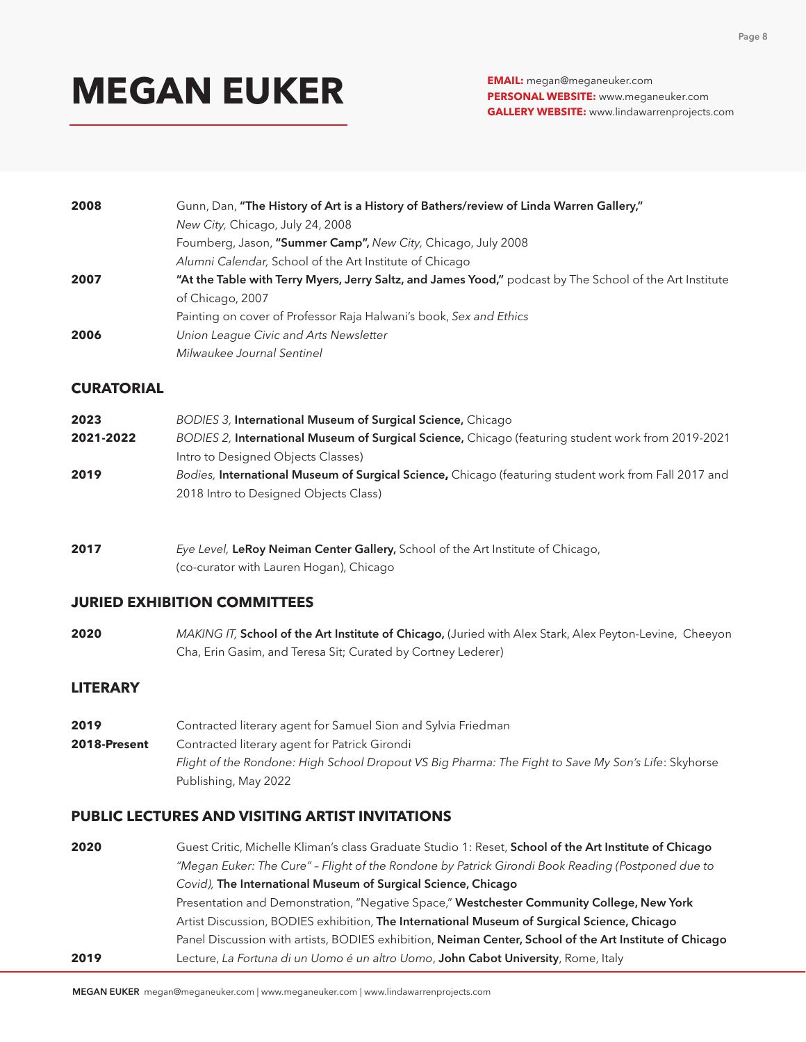**PERSONAL WEBSITE:** www.meganeuker.com **GALLERY WEBSITE:** www.lindawarrenprojects.com

| 2008 | Gunn, Dan, "The History of Art is a History of Bathers/review of Linda Warren Gallery,"                  |
|------|----------------------------------------------------------------------------------------------------------|
|      | New City, Chicago, July 24, 2008                                                                         |
|      | Foumberg, Jason, "Summer Camp", New City, Chicago, July 2008                                             |
|      | Alumni Calendar, School of the Art Institute of Chicago                                                  |
| 2007 | "At the Table with Terry Myers, Jerry Saltz, and James Yood," podcast by The School of the Art Institute |
|      | of Chicago, 2007                                                                                         |
|      | Painting on cover of Professor Raja Halwani's book, Sex and Ethics                                       |
| 2006 | Union League Civic and Arts Newsletter                                                                   |
|      | Milwaukee Journal Sentinel                                                                               |

#### **CURATORIAL**

| 2023      | BODIES 3, International Museum of Surgical Science, Chicago                                                 |
|-----------|-------------------------------------------------------------------------------------------------------------|
| 2021-2022 | BODIES 2, International Museum of Surgical Science, Chicago (featuring student work from 2019-2021          |
|           | Intro to Designed Objects Classes)                                                                          |
| 2019      | Bodies, <b>International Museum of Surgical Science,</b> Chicago (featuring student work from Fall 2017 and |
|           | 2018 Intro to Designed Objects Class)                                                                       |

**2017** *Eye Level,* LeRoy Neiman Center Gallery, School of the Art Institute of Chicago, (co-curator with Lauren Hogan), Chicago

#### **JURIED EXHIBITION COMMITTEES**

**2020** *MAKING IT,* School of the Art Institute of Chicago, (Juried with Alex Stark, Alex Peyton-Levine, Cheeyon Cha, Erin Gasim, and Teresa Sit; Curated by Cortney Lederer)

#### **LITERARY**

**2019** Contracted literary agent for Samuel Sion and Sylvia Friedman **2018-Present** Contracted literary agent for Patrick Girondi *Flight of the Rondone: High School Dropout VS Big Pharma: The Fight to Save My Son's Life*: Skyhorse Publishing, May 2022

#### **PUBLIC LECTURES AND VISITING ARTIST INVITATIONS**

2020 **Guest Critic, Michelle Kliman's class Graduate Studio 1: Reset, School of the Art Institute of Chicago** *"Megan Euker: The Cure" – Flight of the Rondone by Patrick Girondi Book Reading (Postponed due to Covid),* The International Museum of Surgical Science, Chicago Presentation and Demonstration, "Negative Space," Westchester Community College, New York Artist Discussion, BODIES exhibition, The International Museum of Surgical Science, Chicago Panel Discussion with artists, BODIES exhibition, Neiman Center, School of the Art Institute of Chicago **2019** Lecture, *La Fortuna di un Uomo é un altro Uomo*, John Cabot University, Rome, Italy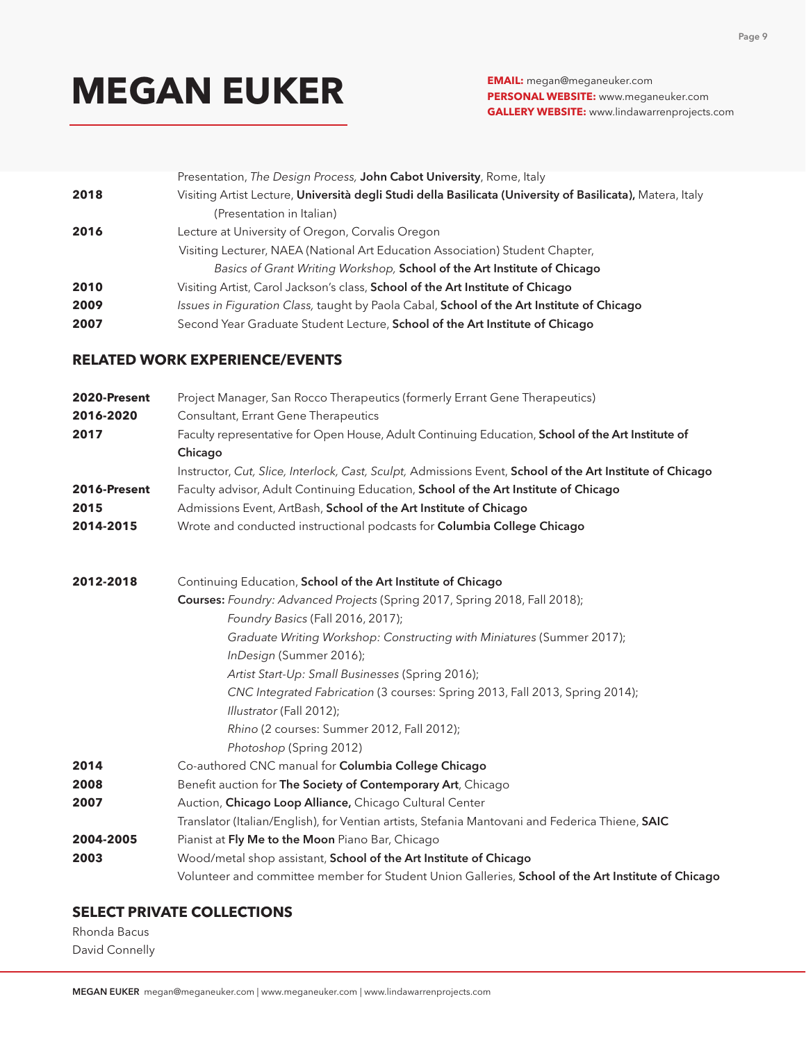**PERSONAL WEBSITE:** www.meganeuker.com **GALLERY WEBSITE:** www.lindawarrenprojects.com

|      | Presentation, The Design Process, John Cabot University, Rome, Italy                                       |
|------|------------------------------------------------------------------------------------------------------------|
| 2018 | Visiting Artist Lecture, Università degli Studi della Basilicata (University of Basilicata), Matera, Italy |
|      | (Presentation in Italian)                                                                                  |
| 2016 | Lecture at University of Oregon, Corvalis Oregon                                                           |
|      | Visiting Lecturer, NAEA (National Art Education Association) Student Chapter,                              |
|      | Basics of Grant Writing Workshop, School of the Art Institute of Chicago                                   |
| 2010 | Visiting Artist, Carol Jackson's class, <b>School of the Art Institute of Chicago</b>                      |
| 2009 | Issues in Figuration Class, taught by Paola Cabal, School of the Art Institute of Chicago                  |
| 2007 | Second Year Graduate Student Lecture, School of the Art Institute of Chicago                               |

#### **RELATED WORK EXPERIENCE/EVENTS**

| 2020-Present | Project Manager, San Rocco Therapeutics (formerly Errant Gene Therapeutics)                               |
|--------------|-----------------------------------------------------------------------------------------------------------|
| 2016-2020    | Consultant, Errant Gene Therapeutics                                                                      |
| 2017         | Faculty representative for Open House, Adult Continuing Education, School of the Art Institute of         |
|              | Chicago                                                                                                   |
|              | Instructor, Cut, Slice, Interlock, Cast, Sculpt, Admissions Event, School of the Art Institute of Chicago |
| 2016-Present | Faculty advisor, Adult Continuing Education, School of the Art Institute of Chicago                       |
| 2015         | Admissions Event, ArtBash, School of the Art Institute of Chicago                                         |
| 2014-2015    | Wrote and conducted instructional podcasts for Columbia College Chicago                                   |
| 2012-2018    | Continuing Education, School of the Art Institute of Chicago                                              |
|              | Courses: Foundry: Advanced Projects (Spring 2017, Spring 2018, Fall 2018);                                |
|              | Foundry Basics (Fall 2016, 2017);                                                                         |
|              | Graduate Writing Workshop: Constructing with Miniatures (Summer 2017);                                    |
|              | InDesign (Summer 2016);                                                                                   |
|              | Artist Start-Up: Small Businesses (Spring 2016);                                                          |
|              | CNC Integrated Fabrication (3 courses: Spring 2013, Fall 2013, Spring 2014);                              |
|              | Illustrator (Fall 2012);                                                                                  |
|              | Rhino (2 courses: Summer 2012, Fall 2012);                                                                |
|              | Photoshop (Spring 2012)                                                                                   |
| 2014         | Co-authored CNC manual for Columbia College Chicago                                                       |
| 2008         | Benefit auction for The Society of Contemporary Art, Chicago                                              |
| 2007         | Auction, Chicago Loop Alliance, Chicago Cultural Center                                                   |
|              | Translator (Italian/English), for Ventian artists, Stefania Mantovani and Federica Thiene, SAIC           |
| 2004-2005    | Pianist at Fly Me to the Moon Piano Bar, Chicago                                                          |
| 2003         | Wood/metal shop assistant, School of the Art Institute of Chicago                                         |
|              | Volunteer and committee member for Student Union Galleries, School of the Art Institute of Chicago        |

### **SELECT PRIVATE COLLECTIONS**

Rhonda Bacus David Connelly